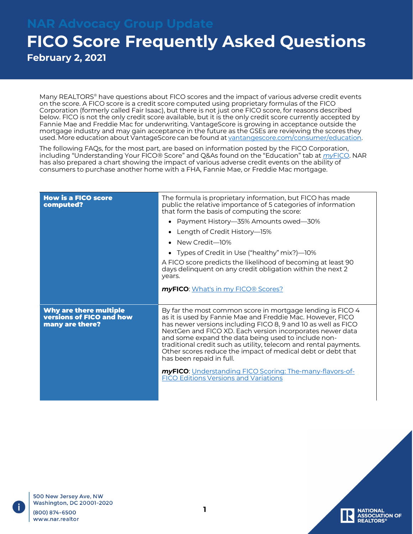**February 2, 2021**

Many REALTORS® have questions about FICO scores and the impact of various adverse credit events on the score. A FICO score is a credit score computed using proprietary formulas of the FICO Corporation (formerly called Fair Isaac), but there is not just one FICO score, for reasons described below. FICO is not the only credit score available, but it is the only credit score currently accepted by Fannie Mae and Freddie Mac for underwriting. VantageScore is growing in acceptance outside the mortgage industry and may gain acceptance in the future as the GSEs are reviewing the [scores](https://vantagescore.com/consumers/education) they used. More education about VantageScore can be found at [vantangescore.com/consumer/education.](https://vantagescore.com/consumers/education)

The following FAQs, for the most part, are based on information posted by the FICO Corporation, including "Understanding Your FICO® Score" and Q&As found on the "Education" tab at *my*[FICO. N](http://www.myfico.com/)AR has also prepared a chart showing the impact of various adverse credit events on the ability of consumers to purchase another home with a FHA, Fannie Mae, or Freddie Mac mortgage.

| <b>How is a FICO score</b><br>computed?                                      | The formula is proprietary information, but FICO has made<br>public the relative importance of 5 categories of information<br>that form the basis of computing the score:<br>Payment History-35% Amounts owed-30%<br>Length of Credit History-15%<br>• New Credit-10%<br>• Types of Credit in Use ("healthy" mix?)—10%<br>A FICO score predicts the likelihood of becoming at least 90<br>days delinquent on any credit obligation within the next 2<br>years.<br>myFICO: What's in my FICO® Scores?                                                                                     |
|------------------------------------------------------------------------------|------------------------------------------------------------------------------------------------------------------------------------------------------------------------------------------------------------------------------------------------------------------------------------------------------------------------------------------------------------------------------------------------------------------------------------------------------------------------------------------------------------------------------------------------------------------------------------------|
| Why are there multiple<br><b>versions of FICO and how</b><br>many are there? | By far the most common score in mortgage lending is FICO 4<br>as it is used by Fannie Mae and Freddie Mac. However, FICO<br>has newer versions including FICO 8, 9 and 10 as well as FICO<br>NextGen and FICO XD. Each version incorporates newer data<br>and some expand the data being used to include non-<br>traditional credit such as utility, telecom and rental payments.<br>Other scores reduce the impact of medical debt or debt that<br>has been repaid in full.<br>myFICO: Understanding FICO Scoring: The-many-flavors-of-<br><b>FICO Editions Versions and Variations</b> |

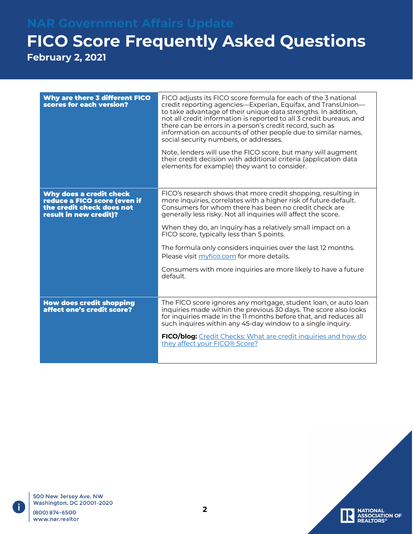**February 2, 2021**

| Why are there 3 different FICO<br>scores for each version?                                                     | FICO adjusts its FICO score formula for each of the 3 national<br>credit reporting agencies—Experian, Equifax, and TransUnion—<br>to take advantage of their unique data strengths. In addition,<br>not all credit information is reported to all 3 credit bureaus, and<br>there can be errors in a person's credit record, such as<br>information on accounts of other people due to similar names,<br>social security numbers, or addresses.<br>Note, lenders will use the FICO score, but many will augment<br>their credit decision with additional criteria (application data<br>elements for example) they want to consider. |
|----------------------------------------------------------------------------------------------------------------|------------------------------------------------------------------------------------------------------------------------------------------------------------------------------------------------------------------------------------------------------------------------------------------------------------------------------------------------------------------------------------------------------------------------------------------------------------------------------------------------------------------------------------------------------------------------------------------------------------------------------------|
| Why does a credit check<br>reduce a FICO score (even if<br>the credit check does not<br>result in new credit)? | FICO's research shows that more credit shopping, resulting in<br>more inquiries, correlates with a higher risk of future default.<br>Consumers for whom there has been no credit check are<br>generally less risky. Not all inquiries will affect the score.<br>When they do, an inquiry has a relatively small impact on a<br>FICO score, typically less than 5 points.<br>The formula only considers inquiries over the last 12 months.<br>Please visit myfico.com for more details.<br>Consumers with more inquiries are more likely to have a future<br>default.                                                               |
| <b>How does credit shopping</b><br>affect one's credit score?                                                  | The FICO score ignores any mortgage, student loan, or auto loan<br>inquiries made within the previous 30 days. The score also looks<br>for inquiries made in the 11 months before that, and reduces all<br>such inquires within any 45-day window to a single inquiry.<br>FICO/blog: Credit Checks: What are credit inquiries and how do<br>they affect your FICO® Score?                                                                                                                                                                                                                                                          |

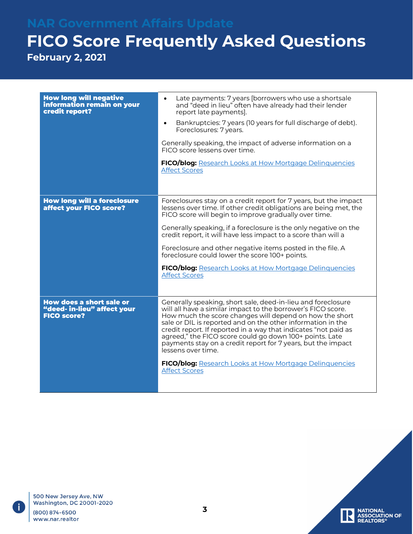## **FICO Score Frequently Asked Questions February 2, 2021**

| <b>How long will negative</b><br>information remain on your<br>credit report?        | Late payments: 7 years [borrowers who use a shortsale<br>$\bullet$<br>and "deed in lieu" often have already had their lender<br>report late payments].<br>Bankruptcies: 7 years (10 years for full discharge of debt).<br>Foreclosures: 7 years.<br>Generally speaking, the impact of adverse information on a<br>FICO score lessens over time.<br><b>FICO/blog:</b> Research Looks at How Mortgage Delinquencies<br><b>Affect Scores</b>                                                                                                                            |
|--------------------------------------------------------------------------------------|----------------------------------------------------------------------------------------------------------------------------------------------------------------------------------------------------------------------------------------------------------------------------------------------------------------------------------------------------------------------------------------------------------------------------------------------------------------------------------------------------------------------------------------------------------------------|
| <b>How long will a foreclosure</b><br>affect your FICO score?                        | Foreclosures stay on a credit report for 7 years, but the impact<br>lessens over time. If other credit obligations are being met, the<br>FICO score will begin to improve gradually over time.<br>Generally speaking, if a foreclosure is the only negative on the<br>credit report, it will have less impact to a score than will a                                                                                                                                                                                                                                 |
|                                                                                      | Foreclosure and other negative items posted in the file. A<br>foreclosure could lower the score 100+ points.<br>FICO/blog: Research Looks at How Mortgage Delinquencies<br><b>Affect Scores</b>                                                                                                                                                                                                                                                                                                                                                                      |
| <b>How does a short sale or</b><br>"deed- in-lieu" affect your<br><b>FICO score?</b> | Generally speaking, short sale, deed-in-lieu and foreclosure<br>will all have a similar impact to the borrower's FICO score.<br>How much the score changes will depend on how the short<br>sale or DIL is reported and on the other information in the<br>credit report. If reported in a way that indicates "not paid as<br>agreed," the FICO score could go down 100+ points. Late<br>payments stay on a credit report for 7 years, but the impact<br>lessens over time.<br><b>FICO/blog:</b> Research Looks at How Mortgage Delinquencies<br><b>Affect Scores</b> |

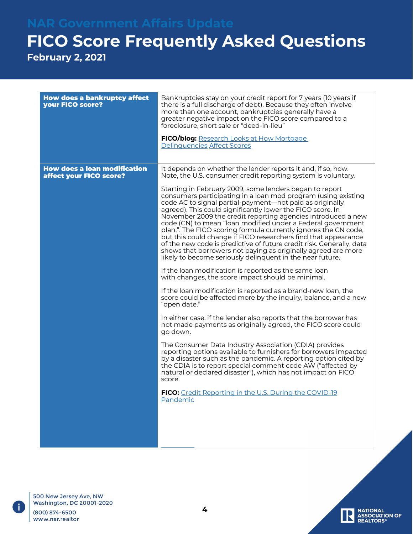**February 2, 2021**

| <b>How does a bankruptcy affect</b><br>your FICO score?        | Bankruptcies stay on your credit report for 7 years (10 years if<br>there is a full discharge of debt). Because they often involve<br>more than one account, bankruptcies generally have a<br>greater negative impact on the FICO score compared to a<br>foreclosure, short sale or "deed-in-lieu"<br><b>FICO/blog:</b> Research Looks at How Mortgage<br>Delinquencies Affect Scores                                                                                                                                                                                                                                                                                                                                                                                                                                                                                                                                                                                                                                                                                                                                                                                                                                                                                                                                                                                                                                                                                                                                                                                                                                                                                                           |
|----------------------------------------------------------------|-------------------------------------------------------------------------------------------------------------------------------------------------------------------------------------------------------------------------------------------------------------------------------------------------------------------------------------------------------------------------------------------------------------------------------------------------------------------------------------------------------------------------------------------------------------------------------------------------------------------------------------------------------------------------------------------------------------------------------------------------------------------------------------------------------------------------------------------------------------------------------------------------------------------------------------------------------------------------------------------------------------------------------------------------------------------------------------------------------------------------------------------------------------------------------------------------------------------------------------------------------------------------------------------------------------------------------------------------------------------------------------------------------------------------------------------------------------------------------------------------------------------------------------------------------------------------------------------------------------------------------------------------------------------------------------------------|
| <b>How does a loan modification</b><br>affect your FICO score? | It depends on whether the lender reports it and, if so, how.<br>Note, the U.S. consumer credit reporting system is voluntary.<br>Starting in February 2009, some lenders began to report<br>consumers participating in a loan mod program (using existing<br>code AC to signal partial-payment—not paid as originally<br>agreed). This could significantly lower the FICO score. In<br>November 2009 the credit reporting agencies introduced a new<br>code (CN) to mean "loan modified under a Federal government<br>plan,". The FICO scoring formula currently ignores the CN code,<br>but this could change if FICO researchers find that appearance<br>of the new code is predictive of future credit risk. Generally, data<br>shows that borrowers not paying as originally agreed are more<br>likely to become seriously delinquent in the near future.<br>If the loan modification is reported as the same loan<br>with changes, the score impact should be minimal.<br>If the loan modification is reported as a brand-new loan, the<br>score could be affected more by the inquiry, balance, and a new<br>"open date."<br>In either case, if the lender also reports that the borrower has<br>not made payments as originally agreed, the FICO score could<br>go down.<br>The Consumer Data Industry Association (CDIA) provides<br>reporting options available to furnishers for borrowers impacted<br>by a disaster such as the pandemic. A reporting option cited by<br>the CDIA is to report special comment code AW ("affected by<br>natural or declared disaster"), which has not impact on FICO<br>score.<br>FICO: Credit Reporting in the U.S. During the COVID-19<br>Pandemic |
|                                                                |                                                                                                                                                                                                                                                                                                                                                                                                                                                                                                                                                                                                                                                                                                                                                                                                                                                                                                                                                                                                                                                                                                                                                                                                                                                                                                                                                                                                                                                                                                                                                                                                                                                                                                 |